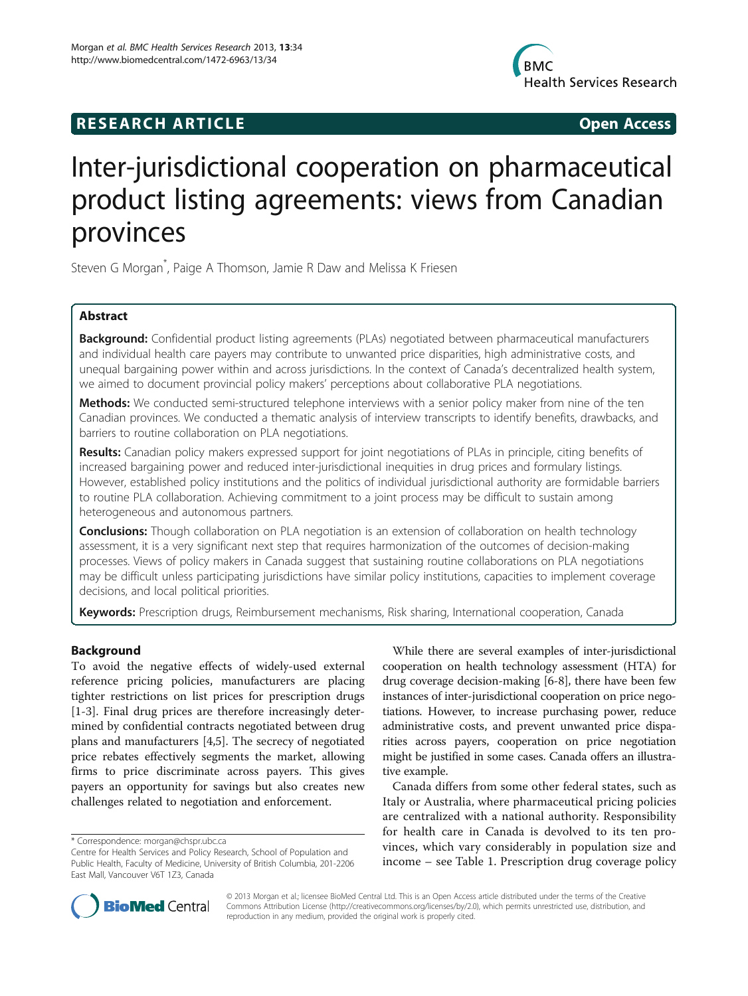## **RESEARCH ARTICLE Example 2018 12:00 Open Access**



# Inter-jurisdictional cooperation on pharmaceutical product listing agreements: views from Canadian provinces

Steven G Morgan\* , Paige A Thomson, Jamie R Daw and Melissa K Friesen

## Abstract

Background: Confidential product listing agreements (PLAs) negotiated between pharmaceutical manufacturers and individual health care payers may contribute to unwanted price disparities, high administrative costs, and unequal bargaining power within and across jurisdictions. In the context of Canada's decentralized health system, we aimed to document provincial policy makers' perceptions about collaborative PLA negotiations.

Methods: We conducted semi-structured telephone interviews with a senior policy maker from nine of the ten Canadian provinces. We conducted a thematic analysis of interview transcripts to identify benefits, drawbacks, and barriers to routine collaboration on PLA negotiations.

Results: Canadian policy makers expressed support for joint negotiations of PLAs in principle, citing benefits of increased bargaining power and reduced inter-jurisdictional inequities in drug prices and formulary listings. However, established policy institutions and the politics of individual jurisdictional authority are formidable barriers to routine PLA collaboration. Achieving commitment to a joint process may be difficult to sustain among heterogeneous and autonomous partners.

**Conclusions:** Though collaboration on PLA negotiation is an extension of collaboration on health technology assessment, it is a very significant next step that requires harmonization of the outcomes of decision-making processes. Views of policy makers in Canada suggest that sustaining routine collaborations on PLA negotiations may be difficult unless participating jurisdictions have similar policy institutions, capacities to implement coverage decisions, and local political priorities.

Keywords: Prescription drugs, Reimbursement mechanisms, Risk sharing, International cooperation, Canada

## Background

To avoid the negative effects of widely-used external reference pricing policies, manufacturers are placing tighter restrictions on list prices for prescription drugs [[1-3](#page-5-0)]. Final drug prices are therefore increasingly determined by confidential contracts negotiated between drug plans and manufacturers [[4](#page-5-0),[5\]](#page-5-0). The secrecy of negotiated price rebates effectively segments the market, allowing firms to price discriminate across payers. This gives payers an opportunity for savings but also creates new challenges related to negotiation and enforcement.

While there are several examples of inter-jurisdictional cooperation on health technology assessment (HTA) for drug coverage decision-making [\[6](#page-5-0)-[8](#page-5-0)], there have been few instances of inter-jurisdictional cooperation on price negotiations. However, to increase purchasing power, reduce administrative costs, and prevent unwanted price disparities across payers, cooperation on price negotiation might be justified in some cases. Canada offers an illustrative example.

Canada differs from some other federal states, such as Italy or Australia, where pharmaceutical pricing policies are centralized with a national authority. Responsibility for health care in Canada is devolved to its ten provinces, which vary considerably in population size and income – see Table [1](#page-1-0). Prescription drug coverage policy



© 2013 Morgan et al.; licensee BioMed Central Ltd. This is an Open Access article distributed under the terms of the Creative Commons Attribution License [\(http://creativecommons.org/licenses/by/2.0\)](http://creativecommons.org/licenses/by/2.0), which permits unrestricted use, distribution, and reproduction in any medium, provided the original work is properly cited.

<sup>\*</sup> Correspondence: [morgan@chspr.ubc.ca](mailto:morgan@chspr.ubc.ca)

Centre for Health Services and Policy Research, School of Population and Public Health, Faculty of Medicine, University of British Columbia, 201-2206 East Mall, Vancouver V6T 1Z3, Canada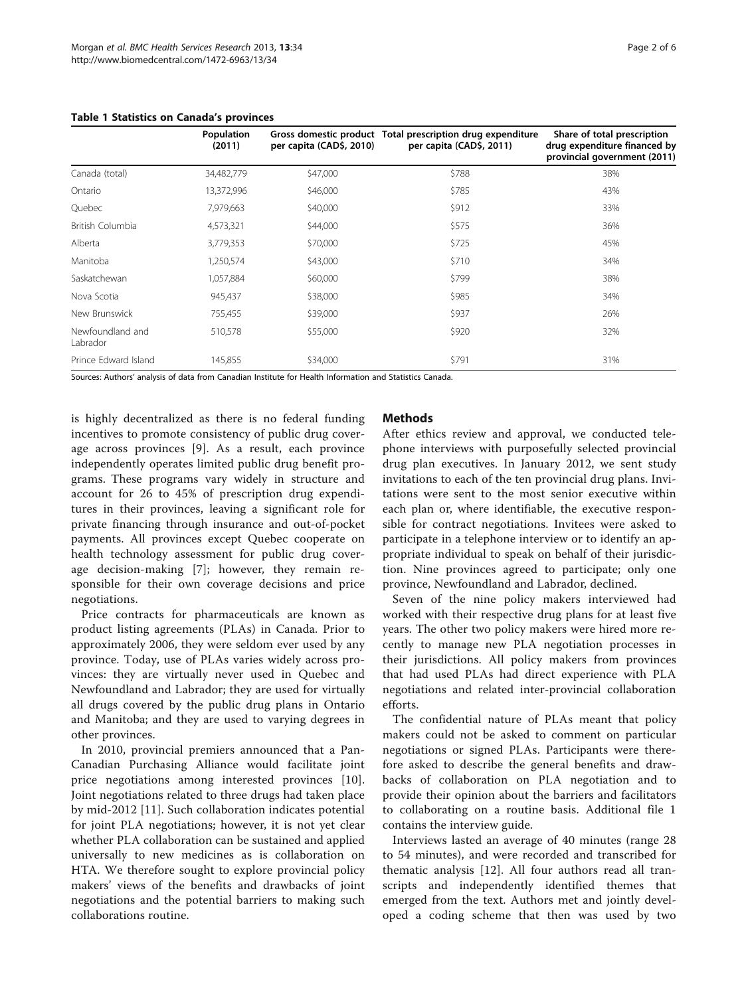|                                                         | Population<br>(2011) | per capita (CAD\$, 2010) | Gross domestic product Total prescription drug expenditure<br>per capita (CAD\$, 2011) | Share of total prescription<br>drug expenditure financed by<br>provincial government (2011) |
|---------------------------------------------------------|----------------------|--------------------------|----------------------------------------------------------------------------------------|---------------------------------------------------------------------------------------------|
| Canada (total)                                          | 34,482,779           | \$47,000                 | \$788                                                                                  | 38%                                                                                         |
| Ontario                                                 | 13,372,996           | \$46,000                 | \$785                                                                                  | 43%                                                                                         |
| Quebec                                                  | 7,979,663            | \$40,000                 | \$912                                                                                  | 33%                                                                                         |
| British Columbia                                        | 4,573,321            | \$44,000                 | \$575                                                                                  | 36%                                                                                         |
| Alberta                                                 | 3,779,353            | \$70,000                 | \$725                                                                                  | 45%                                                                                         |
| Manitoba                                                | 1,250,574            | \$43,000                 | \$710                                                                                  | 34%                                                                                         |
| Saskatchewan                                            | 1,057,884            | \$60,000                 | \$799                                                                                  | 38%                                                                                         |
| Nova Scotia                                             | 945,437              | \$38,000                 | \$985                                                                                  | 34%                                                                                         |
| New Brunswick                                           | 755,455              | \$39,000                 | \$937                                                                                  | 26%                                                                                         |
| Newfoundland and<br>Labrador                            | 510,578              | \$55,000                 | \$920                                                                                  | 32%                                                                                         |
| Prince Edward Island                                    | 145,855              | \$34,000                 | \$791                                                                                  | 31%                                                                                         |
| $\sim$ $\sim$ $\sim$ $\sim$ $\sim$ $\sim$ $\sim$ $\sim$ |                      |                          | .                                                                                      |                                                                                             |

#### <span id="page-1-0"></span>Table 1 Statistics on Canada's provinces

Sources: Authors' analysis of data from Canadian Institute for Health Information and Statistics Canada.

is highly decentralized as there is no federal funding incentives to promote consistency of public drug coverage across provinces [[9](#page-5-0)]. As a result, each province independently operates limited public drug benefit programs. These programs vary widely in structure and account for 26 to 45% of prescription drug expenditures in their provinces, leaving a significant role for private financing through insurance and out-of-pocket payments. All provinces except Quebec cooperate on health technology assessment for public drug coverage decision-making [[7\]](#page-5-0); however, they remain responsible for their own coverage decisions and price negotiations.

Price contracts for pharmaceuticals are known as product listing agreements (PLAs) in Canada. Prior to approximately 2006, they were seldom ever used by any province. Today, use of PLAs varies widely across provinces: they are virtually never used in Quebec and Newfoundland and Labrador; they are used for virtually all drugs covered by the public drug plans in Ontario and Manitoba; and they are used to varying degrees in other provinces.

In 2010, provincial premiers announced that a Pan-Canadian Purchasing Alliance would facilitate joint price negotiations among interested provinces [[10](#page-5-0)]. Joint negotiations related to three drugs had taken place by mid-2012 [\[11](#page-5-0)]. Such collaboration indicates potential for joint PLA negotiations; however, it is not yet clear whether PLA collaboration can be sustained and applied universally to new medicines as is collaboration on HTA. We therefore sought to explore provincial policy makers' views of the benefits and drawbacks of joint negotiations and the potential barriers to making such collaborations routine.

### **Methods**

After ethics review and approval, we conducted telephone interviews with purposefully selected provincial drug plan executives. In January 2012, we sent study invitations to each of the ten provincial drug plans. Invitations were sent to the most senior executive within each plan or, where identifiable, the executive responsible for contract negotiations. Invitees were asked to participate in a telephone interview or to identify an appropriate individual to speak on behalf of their jurisdiction. Nine provinces agreed to participate; only one province, Newfoundland and Labrador, declined.

Seven of the nine policy makers interviewed had worked with their respective drug plans for at least five years. The other two policy makers were hired more recently to manage new PLA negotiation processes in their jurisdictions. All policy makers from provinces that had used PLAs had direct experience with PLA negotiations and related inter-provincial collaboration efforts.

The confidential nature of PLAs meant that policy makers could not be asked to comment on particular negotiations or signed PLAs. Participants were therefore asked to describe the general benefits and drawbacks of collaboration on PLA negotiation and to provide their opinion about the barriers and facilitators to collaborating on a routine basis. Additional file [1](#page-4-0) contains the interview guide.

Interviews lasted an average of 40 minutes (range 28 to 54 minutes), and were recorded and transcribed for thematic analysis [[12\]](#page-5-0). All four authors read all transcripts and independently identified themes that emerged from the text. Authors met and jointly developed a coding scheme that then was used by two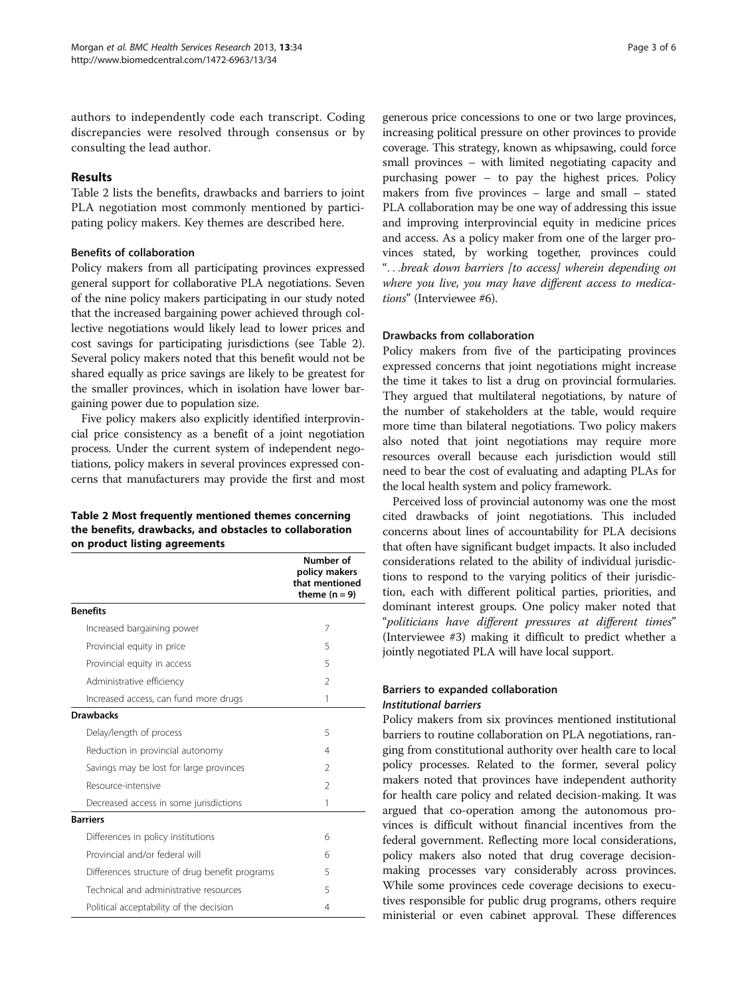authors to independently code each transcript. Coding discrepancies were resolved through consensus or by consulting the lead author.

## Results

Table 2 lists the benefits, drawbacks and barriers to joint PLA negotiation most commonly mentioned by participating policy makers. Key themes are described here.

## Benefits of collaboration

Policy makers from all participating provinces expressed general support for collaborative PLA negotiations. Seven of the nine policy makers participating in our study noted that the increased bargaining power achieved through collective negotiations would likely lead to lower prices and cost savings for participating jurisdictions (see Table 2). Several policy makers noted that this benefit would not be shared equally as price savings are likely to be greatest for the smaller provinces, which in isolation have lower bargaining power due to population size.

Five policy makers also explicitly identified interprovincial price consistency as a benefit of a joint negotiation process. Under the current system of independent negotiations, policy makers in several provinces expressed concerns that manufacturers may provide the first and most

#### Table 2 Most frequently mentioned themes concerning the benefits, drawbacks, and obstacles to collaboration on product listing agreements

|                                                | Number of<br>policy makers<br>that mentioned<br>theme $(n = 9)$ |
|------------------------------------------------|-----------------------------------------------------------------|
| <b>Benefits</b>                                |                                                                 |
| Increased bargaining power                     | 7                                                               |
| Provincial equity in price                     | 5                                                               |
| Provincial equity in access                    | 5                                                               |
| Administrative efficiency                      | $\mathfrak{D}$                                                  |
| Increased access, can fund more drugs          | 1                                                               |
| <b>Drawbacks</b>                               |                                                                 |
| Delay/length of process                        | 5                                                               |
| Reduction in provincial autonomy               | 4                                                               |
| Savings may be lost for large provinces        | $\mathfrak{D}$                                                  |
| Resource-intensive                             | $\mathfrak{D}$                                                  |
| Decreased access in some jurisdictions         | 1                                                               |
| <b>Barriers</b>                                |                                                                 |
| Differences in policy institutions             | 6                                                               |
| Provincial and/or federal will                 | 6                                                               |
| Differences structure of drug benefit programs | 5                                                               |
| Technical and administrative resources         | 5                                                               |
| Political acceptability of the decision        | 4                                                               |

generous price concessions to one or two large provinces, increasing political pressure on other provinces to provide coverage. This strategy, known as whipsawing, could force small provinces – with limited negotiating capacity and purchasing power – to pay the highest prices. Policy makers from five provinces – large and small – stated PLA collaboration may be one way of addressing this issue and improving interprovincial equity in medicine prices and access. As a policy maker from one of the larger provinces stated, by working together, provinces could "...break down barriers [to access] wherein depending on where you live, you may have different access to medications" (Interviewee #6).

## Drawbacks from collaboration

Policy makers from five of the participating provinces expressed concerns that joint negotiations might increase the time it takes to list a drug on provincial formularies. They argued that multilateral negotiations, by nature of the number of stakeholders at the table, would require more time than bilateral negotiations. Two policy makers also noted that joint negotiations may require more resources overall because each jurisdiction would still need to bear the cost of evaluating and adapting PLAs for the local health system and policy framework.

Perceived loss of provincial autonomy was one the most cited drawbacks of joint negotiations. This included concerns about lines of accountability for PLA decisions that often have significant budget impacts. It also included considerations related to the ability of individual jurisdictions to respond to the varying politics of their jurisdiction, each with different political parties, priorities, and dominant interest groups. One policy maker noted that "politicians have different pressures at different times" (Interviewee #3) making it difficult to predict whether a jointly negotiated PLA will have local support.

### Barriers to expanded collaboration Institutional barriers

Policy makers from six provinces mentioned institutional barriers to routine collaboration on PLA negotiations, ranging from constitutional authority over health care to local policy processes. Related to the former, several policy makers noted that provinces have independent authority for health care policy and related decision-making. It was argued that co-operation among the autonomous provinces is difficult without financial incentives from the federal government. Reflecting more local considerations, policy makers also noted that drug coverage decisionmaking processes vary considerably across provinces. While some provinces cede coverage decisions to executives responsible for public drug programs, others require ministerial or even cabinet approval. These differences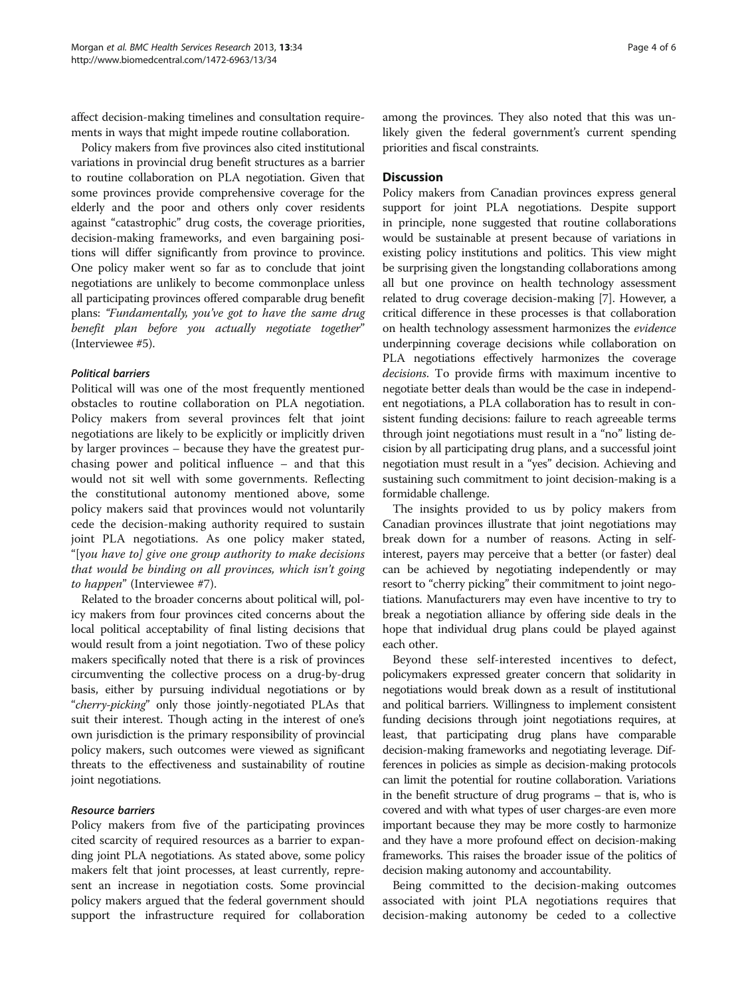affect decision-making timelines and consultation requirements in ways that might impede routine collaboration.

Policy makers from five provinces also cited institutional variations in provincial drug benefit structures as a barrier to routine collaboration on PLA negotiation. Given that some provinces provide comprehensive coverage for the elderly and the poor and others only cover residents against "catastrophic" drug costs, the coverage priorities, decision-making frameworks, and even bargaining positions will differ significantly from province to province. One policy maker went so far as to conclude that joint negotiations are unlikely to become commonplace unless all participating provinces offered comparable drug benefit plans: "Fundamentally, you've got to have the same drug benefit plan before you actually negotiate together" (Interviewee #5).

#### Political barriers

Political will was one of the most frequently mentioned obstacles to routine collaboration on PLA negotiation. Policy makers from several provinces felt that joint negotiations are likely to be explicitly or implicitly driven by larger provinces – because they have the greatest purchasing power and political influence – and that this would not sit well with some governments. Reflecting the constitutional autonomy mentioned above, some policy makers said that provinces would not voluntarily cede the decision-making authority required to sustain joint PLA negotiations. As one policy maker stated, "[you have to] give one group authority to make decisions that would be binding on all provinces, which isn't going to happen" (Interviewee #7).

Related to the broader concerns about political will, policy makers from four provinces cited concerns about the local political acceptability of final listing decisions that would result from a joint negotiation. Two of these policy makers specifically noted that there is a risk of provinces circumventing the collective process on a drug-by-drug basis, either by pursuing individual negotiations or by "cherry-picking" only those jointly-negotiated PLAs that suit their interest. Though acting in the interest of one's own jurisdiction is the primary responsibility of provincial policy makers, such outcomes were viewed as significant threats to the effectiveness and sustainability of routine joint negotiations.

#### Resource barriers

Policy makers from five of the participating provinces cited scarcity of required resources as a barrier to expanding joint PLA negotiations. As stated above, some policy makers felt that joint processes, at least currently, represent an increase in negotiation costs. Some provincial policy makers argued that the federal government should support the infrastructure required for collaboration

among the provinces. They also noted that this was unlikely given the federal government's current spending priorities and fiscal constraints.

## **Discussion**

Policy makers from Canadian provinces express general support for joint PLA negotiations. Despite support in principle, none suggested that routine collaborations would be sustainable at present because of variations in existing policy institutions and politics. This view might be surprising given the longstanding collaborations among all but one province on health technology assessment related to drug coverage decision-making [\[7\]](#page-5-0). However, a critical difference in these processes is that collaboration on health technology assessment harmonizes the evidence underpinning coverage decisions while collaboration on PLA negotiations effectively harmonizes the coverage decisions. To provide firms with maximum incentive to negotiate better deals than would be the case in independent negotiations, a PLA collaboration has to result in consistent funding decisions: failure to reach agreeable terms through joint negotiations must result in a "no" listing decision by all participating drug plans, and a successful joint negotiation must result in a "yes" decision. Achieving and sustaining such commitment to joint decision-making is a formidable challenge.

The insights provided to us by policy makers from Canadian provinces illustrate that joint negotiations may break down for a number of reasons. Acting in selfinterest, payers may perceive that a better (or faster) deal can be achieved by negotiating independently or may resort to "cherry picking" their commitment to joint negotiations. Manufacturers may even have incentive to try to break a negotiation alliance by offering side deals in the hope that individual drug plans could be played against each other.

Beyond these self-interested incentives to defect, policymakers expressed greater concern that solidarity in negotiations would break down as a result of institutional and political barriers. Willingness to implement consistent funding decisions through joint negotiations requires, at least, that participating drug plans have comparable decision-making frameworks and negotiating leverage. Differences in policies as simple as decision-making protocols can limit the potential for routine collaboration. Variations in the benefit structure of drug programs – that is, who is covered and with what types of user charges-are even more important because they may be more costly to harmonize and they have a more profound effect on decision-making frameworks. This raises the broader issue of the politics of decision making autonomy and accountability.

Being committed to the decision-making outcomes associated with joint PLA negotiations requires that decision-making autonomy be ceded to a collective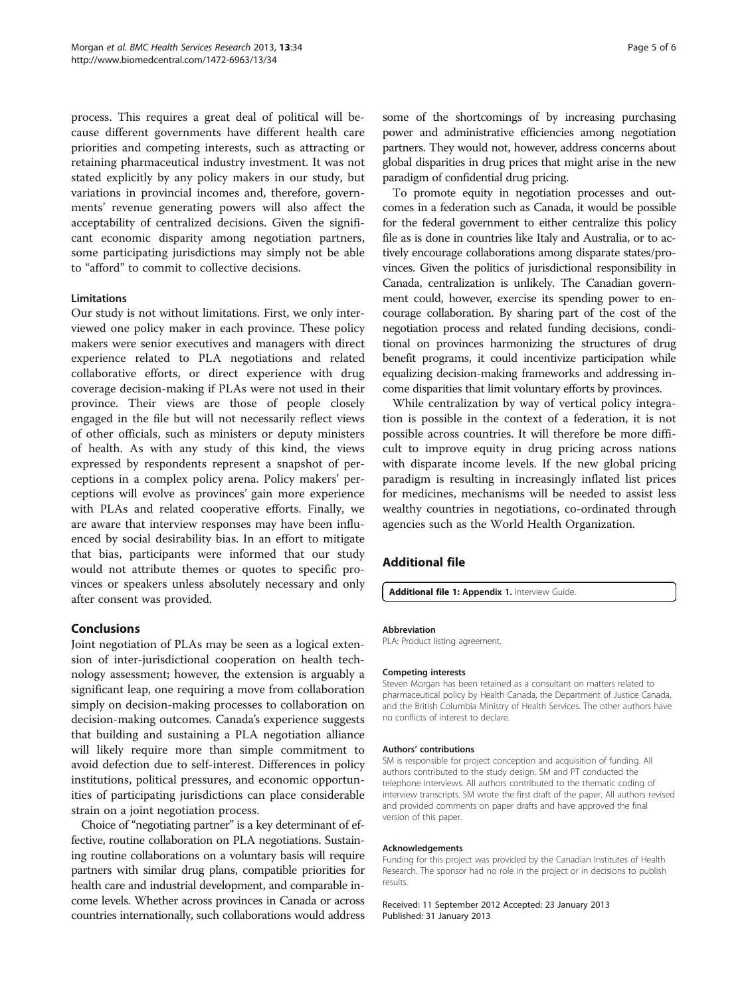<span id="page-4-0"></span>process. This requires a great deal of political will because different governments have different health care priorities and competing interests, such as attracting or retaining pharmaceutical industry investment. It was not stated explicitly by any policy makers in our study, but variations in provincial incomes and, therefore, governments' revenue generating powers will also affect the acceptability of centralized decisions. Given the significant economic disparity among negotiation partners, some participating jurisdictions may simply not be able to "afford" to commit to collective decisions.

#### Limitations

Our study is not without limitations. First, we only interviewed one policy maker in each province. These policy makers were senior executives and managers with direct experience related to PLA negotiations and related collaborative efforts, or direct experience with drug coverage decision-making if PLAs were not used in their province. Their views are those of people closely engaged in the file but will not necessarily reflect views of other officials, such as ministers or deputy ministers of health. As with any study of this kind, the views expressed by respondents represent a snapshot of perceptions in a complex policy arena. Policy makers' perceptions will evolve as provinces' gain more experience with PLAs and related cooperative efforts. Finally, we are aware that interview responses may have been influenced by social desirability bias. In an effort to mitigate that bias, participants were informed that our study would not attribute themes or quotes to specific provinces or speakers unless absolutely necessary and only after consent was provided.

#### Conclusions

Joint negotiation of PLAs may be seen as a logical extension of inter-jurisdictional cooperation on health technology assessment; however, the extension is arguably a significant leap, one requiring a move from collaboration simply on decision-making processes to collaboration on decision-making outcomes. Canada's experience suggests that building and sustaining a PLA negotiation alliance will likely require more than simple commitment to avoid defection due to self-interest. Differences in policy institutions, political pressures, and economic opportunities of participating jurisdictions can place considerable strain on a joint negotiation process.

Choice of "negotiating partner" is a key determinant of effective, routine collaboration on PLA negotiations. Sustaining routine collaborations on a voluntary basis will require partners with similar drug plans, compatible priorities for health care and industrial development, and comparable income levels. Whether across provinces in Canada or across countries internationally, such collaborations would address some of the shortcomings of by increasing purchasing power and administrative efficiencies among negotiation partners. They would not, however, address concerns about global disparities in drug prices that might arise in the new paradigm of confidential drug pricing.

To promote equity in negotiation processes and outcomes in a federation such as Canada, it would be possible for the federal government to either centralize this policy file as is done in countries like Italy and Australia, or to actively encourage collaborations among disparate states/provinces. Given the politics of jurisdictional responsibility in Canada, centralization is unlikely. The Canadian government could, however, exercise its spending power to encourage collaboration. By sharing part of the cost of the negotiation process and related funding decisions, conditional on provinces harmonizing the structures of drug benefit programs, it could incentivize participation while equalizing decision-making frameworks and addressing income disparities that limit voluntary efforts by provinces.

While centralization by way of vertical policy integration is possible in the context of a federation, it is not possible across countries. It will therefore be more difficult to improve equity in drug pricing across nations with disparate income levels. If the new global pricing paradigm is resulting in increasingly inflated list prices for medicines, mechanisms will be needed to assist less wealthy countries in negotiations, co-ordinated through agencies such as the World Health Organization.

### Additional file

[Additional file 1:](http://www.biomedcentral.com/content/supplementary/1472-6963-13-34-S1.docx) Appendix 1. Interview Guide

#### Abbreviation

PLA: Product listing agreement.

#### Competing interests

Steven Morgan has been retained as a consultant on matters related to pharmaceutical policy by Health Canada, the Department of Justice Canada, and the British Columbia Ministry of Health Services. The other authors have no conflicts of interest to declare.

#### Authors' contributions

SM is responsible for project conception and acquisition of funding. All authors contributed to the study design. SM and PT conducted the telephone interviews. All authors contributed to the thematic coding of interview transcripts. SM wrote the first draft of the paper. All authors revised and provided comments on paper drafts and have approved the final version of this paper.

#### Acknowledgements

Funding for this project was provided by the Canadian Institutes of Health Research. The sponsor had no role in the project or in decisions to publish results.

Received: 11 September 2012 Accepted: 23 January 2013 Published: 31 January 2013